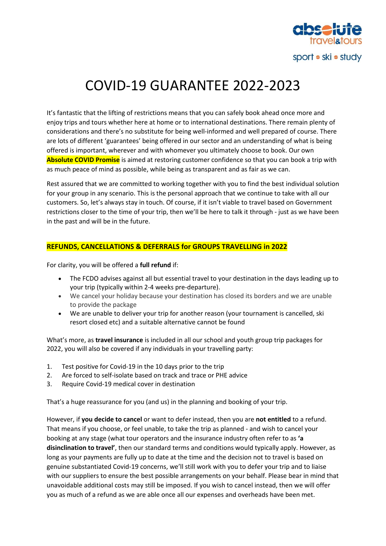

# COVID-19 GUARANTEE 2022-2023

It's fantastic that the lifting of restrictions means that you can safely book ahead once more and enjoy trips and tours whether here at home or to international destinations. There remain plenty of considerations and there's no substitute for being well-informed and well prepared of course. There are lots of different 'guarantees' being offered in our sector and an understanding of what is being offered is important, wherever and with whomever you ultimately choose to book. Our own **Absolute COVID Promise** is aimed at restoring customer confidence so that you can book a trip with as much peace of mind as possible, while being as transparent and as fair as we can.

Rest assured that we are committed to working together with you to find the best individual solution for your group in any scenario. This is the personal approach that we continue to take with all our customers. So, let's always stay in touch. Of course, if it isn't viable to travel based on Government restrictions closer to the time of your trip, then we'll be here to talk it through - just as we have been in the past and will be in the future.

# **REFUNDS, CANCELLATIONS & DEFERRALS for GROUPS TRAVELLING in 2022**

For clarity, you will be offered a **full refund** if:

- The FCDO advises against all but essential travel to your destination in the days leading up to your trip (typically within 2-4 weeks pre-departure).
- We cancel your holiday because your destination has closed its borders and we are unable to provide the package
- We are unable to deliver your trip for another reason (your tournament is cancelled, ski resort closed etc) and a suitable alternative cannot be found

What's more, as **travel insurance** is included in all our school and youth group trip packages for 2022, you will also be covered if any individuals in your travelling party:

- 1. Test positive for Covid-19 in the 10 days prior to the trip
- 2. Are forced to self-isolate based on track and trace or PHE advice
- 3. Require Covid-19 medical cover in destination

That's a huge reassurance for you (and us) in the planning and booking of your trip.

However, if **you decide to cancel** or want to defer instead, then you are **not entitled** to a refund. That means if you choose, or feel unable, to take the trip as planned - and wish to cancel your booking at any stage (what tour operators and the insurance industry often refer to as **'a disinclination to travel'**, then our standard terms and conditions would typically apply. However, as long as your payments are fully up to date at the time and the decision not to travel is based on genuine substantiated Covid-19 concerns, we'll still work with you to defer your trip and to liaise with our suppliers to ensure the best possible arrangements on your behalf. Please bear in mind that unavoidable additional costs may still be imposed. If you wish to cancel instead, then we will offer you as much of a refund as we are able once all our expenses and overheads have been met.